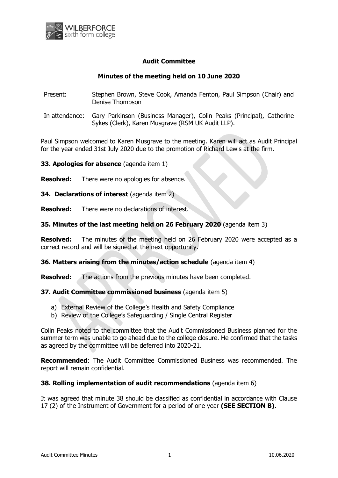

# **Audit Committee**

### **Minutes of the meeting held on 10 June 2020**

- Present: Stephen Brown, Steve Cook, Amanda Fenton, Paul Simpson (Chair) and Denise Thompson
- In attendance: Gary Parkinson (Business Manager), Colin Peaks (Principal), Catherine Sykes (Clerk), Karen Musgrave (RSM UK Audit LLP).

Paul Simpson welcomed to Karen Musgrave to the meeting. Karen will act as Audit Principal for the year ended 31st July 2020 due to the promotion of Richard Lewis at the firm.

**33. Apologies for absence** (agenda item 1)

- **Resolved:** There were no apologies for absence.
- **34. Declarations of interest** (agenda item 2)

**Resolved:** There were no declarations of interest.

#### **35. Minutes of the last meeting held on 26 February 2020** (agenda item 3)

**Resolved:** The minutes of the meeting held on 26 February 2020 were accepted as a correct record and will be signed at the next opportunity.

#### **36. Matters arising from the minutes/action schedule** (agenda item 4)

**Resolved:** The actions from the previous minutes have been completed.

#### **37. Audit Committee commissioned business** (agenda item 5)

- a) External Review of the College's Health and Safety Compliance
- b) Review of the College's Safeguarding / Single Central Register

Colin Peaks noted to the committee that the Audit Commissioned Business planned for the summer term was unable to go ahead due to the college closure. He confirmed that the tasks as agreed by the committee will be deferred into 2020-21.

**Recommended**: The Audit Committee Commissioned Business was recommended. The report will remain confidential.

#### **38. Rolling implementation of audit recommendations** (agenda item 6)

It was agreed that minute 38 should be classified as confidential in accordance with Clause 17 (2) of the Instrument of Government for a period of one year **(SEE SECTION B)**.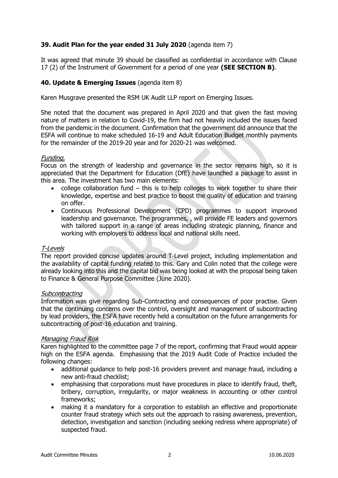# **39. Audit Plan for the year ended 31 July 2020** (agenda item 7)

It was agreed that minute 39 should be classified as confidential in accordance with Clause 17 (2) of the Instrument of Government for a period of one year **(SEE SECTION B)**.

# **40. Update & Emerging Issues** (agenda item 8)

Karen Musgrave presented the RSM UK Audit LLP report on Emerging Issues.

She noted that the document was prepared in April 2020 and that given the fast moving nature of matters in relation to Covid-19, the firm had not heavily included the issues faced from the pandemic in the document. Confirmation that the government did announce that the ESFA will continue to make scheduled 16-19 and Adult Education Budget monthly payments for the remainder of the 2019-20 year and for 2020-21 was welcomed.

### Funding.

Focus on the strength of leadership and governance in the sector remains high, so it is appreciated that the Department for Education (DfE) have launched a package to assist in this area. The investment has two main elements:

- college collaboration fund this is to help colleges to work together to share their knowledge, expertise and best practice to boost the quality of education and training on offer.
- Continuous Professional Development (CPD) programmes to support improved leadership and governance. The programmes, , will provide FE leaders and governors with tailored support in a range of areas including strategic planning, finance and working with employers to address local and national skills need.

### T-Levels

The report provided concise updates around T-Level project, including implementation and the availability of capital funding related to this. Gary and Colin noted that the college were already looking into this and the capital bid was being looked at with the proposal being taken to Finance & General Purpose Committee (June 2020).

#### **Subcontracting**

Information was give regarding Sub-Contracting and consequences of poor practise. Given that the continuing concerns over the control, oversight and management of subcontracting by lead providers, the ESFA have recently held a consultation on the future arrangements for subcontracting of post-16 education and training.

### Managing Fraud Risk

Karen highlighted to the committee page 7 of the report, confirming that Fraud would appear high on the ESFA agenda. Emphasising that the 2019 Audit Code of Practice included the following changes:

- additional guidance to help post-16 providers prevent and manage fraud, including a new anti-fraud checklist;
- emphasising that corporations must have procedures in place to identify fraud, theft, bribery, corruption, irregularity, or major weakness in accounting or other control frameworks;
- making it a mandatory for a corporation to establish an effective and proportionate counter fraud strategy which sets out the approach to raising awareness, prevention, detection, investigation and sanction (including seeking redress where appropriate) of suspected fraud.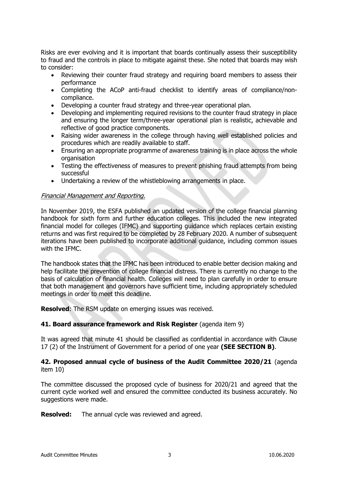Risks are ever evolving and it is important that boards continually assess their susceptibility to fraud and the controls in place to mitigate against these. She noted that boards may wish to consider:

- Reviewing their counter fraud strategy and requiring board members to assess their performance
- Completing the ACoP anti-fraud checklist to identify areas of compliance/noncompliance.
- Developing a counter fraud strategy and three-year operational plan.
- Developing and implementing required revisions to the counter fraud strategy in place and ensuring the longer term/three-year operational plan is realistic, achievable and reflective of good practice components.
- Raising wider awareness in the college through having well established policies and procedures which are readily available to staff.
- Ensuring an appropriate programme of awareness training is in place across the whole organisation
- Testing the effectiveness of measures to prevent phishing fraud attempts from being successful
- Undertaking a review of the whistleblowing arrangements in place.

### Financial Management and Reporting.

In November 2019, the ESFA published an updated version of the college financial planning handbook for sixth form and further education colleges. This included the new integrated financial model for colleges (IFMC) and supporting guidance which replaces certain existing returns and was first required to be completed by 28 February 2020. A number of subsequent iterations have been published to incorporate additional guidance, including common issues with the IFMC.

The handbook states that the IFMC has been introduced to enable better decision making and help facilitate the prevention of college financial distress. There is currently no change to the basis of calculation of financial health. Colleges will need to plan carefully in order to ensure that both management and governors have sufficient time, including appropriately scheduled meetings in order to meet this deadline.

**Resolved**: The RSM update on emerging issues was received.

### **41. Board assurance framework and Risk Register** (agenda item 9)

It was agreed that minute 41 should be classified as confidential in accordance with Clause 17 (2) of the Instrument of Government for a period of one year **(SEE SECTION B)**.

### **42. Proposed annual cycle of business of the Audit Committee 2020/21** (agenda item 10)

The committee discussed the proposed cycle of business for 2020/21 and agreed that the current cycle worked well and ensured the committee conducted its business accurately. No suggestions were made.

**Resolved:** The annual cycle was reviewed and agreed.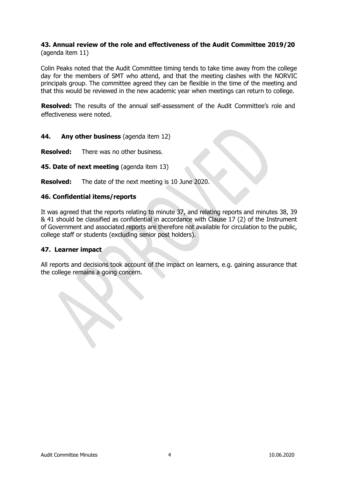# **43. Annual review of the role and effectiveness of the Audit Committee 2019/20**  (agenda item 11)

Colin Peaks noted that the Audit Committee timing tends to take time away from the college day for the members of SMT who attend, and that the meeting clashes with the NORVIC principals group. The committee agreed they can be flexible in the time of the meeting and that this would be reviewed in the new academic year when meetings can return to college.

**Resolved:** The results of the annual self-assessment of the Audit Committee's role and effectiveness were noted.

# **44. Any other business** (agenda item 12)

**Resolved:** There was no other business.

**45. Date of next meeting** (agenda item 13)

**Resolved:** The date of the next meeting is 10 June 2020.

### **46. Confidential items/reports**

It was agreed that the reports relating to minute 37, and relating reports and minutes 38, 39 & 41 should be classified as confidential in accordance with Clause 17 (2) of the Instrument of Government and associated reports are therefore not available for circulation to the public, college staff or students (excluding senior post holders).

### **47. Learner impact**

All reports and decisions took account of the impact on learners, e.g. gaining assurance that the college remains a going concern.